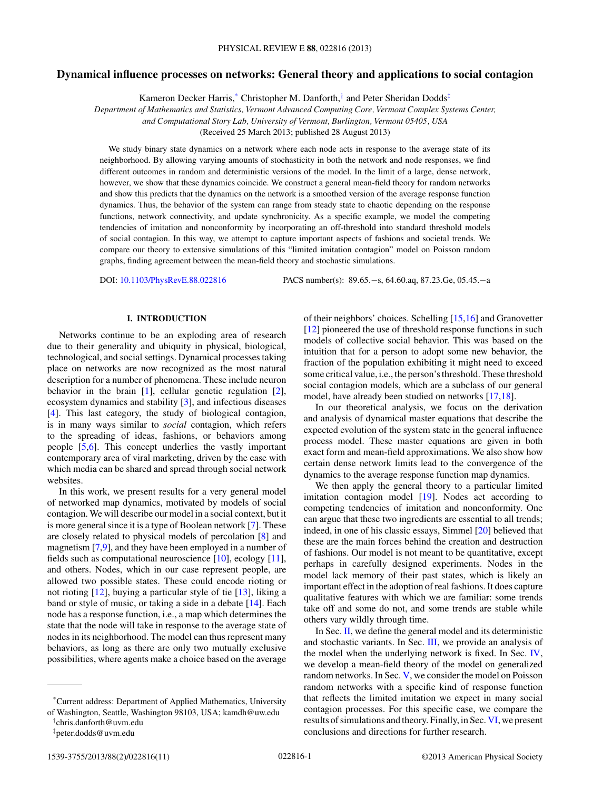# **Dynamical influence processes on networks: General theory and applications to social contagion**

Kameron Decker Harris,\* Christopher M. Danforth, $\dagger$  and Peter Sheridan Dodds<sup> $\ddagger$ </sup>

*Department of Mathematics and Statistics, Vermont Advanced Computing Core, Vermont Complex Systems Center, and Computational Story Lab, University of Vermont, Burlington, Vermont 05405, USA*

(Received 25 March 2013; published 28 August 2013)

We study binary state dynamics on a network where each node acts in response to the average state of its neighborhood. By allowing varying amounts of stochasticity in both the network and node responses, we find different outcomes in random and deterministic versions of the model. In the limit of a large, dense network, however, we show that these dynamics coincide. We construct a general mean-field theory for random networks and show this predicts that the dynamics on the network is a smoothed version of the average response function dynamics. Thus, the behavior of the system can range from steady state to chaotic depending on the response functions, network connectivity, and update synchronicity. As a specific example, we model the competing tendencies of imitation and nonconformity by incorporating an off-threshold into standard threshold models of social contagion. In this way, we attempt to capture important aspects of fashions and societal trends. We compare our theory to extensive simulations of this "limited imitation contagion" model on Poisson random graphs, finding agreement between the mean-field theory and stochastic simulations.

DOI: [10.1103/PhysRevE.88.022816](http://dx.doi.org/10.1103/PhysRevE.88.022816) PACS number(s): 89.65.−s, 64.60.aq, 87.23.Ge, 05.45.−a

# **I. INTRODUCTION**

Networks continue to be an exploding area of research due to their generality and ubiquity in physical, biological, technological, and social settings. Dynamical processes taking place on networks are now recognized as the most natural description for a number of phenomena. These include neuron behavior in the brain [\[1\]](#page-9-0), cellular genetic regulation [\[2\]](#page-9-0), ecosystem dynamics and stability [\[3\]](#page-9-0), and infectious diseases [\[4\]](#page-9-0). This last category, the study of biological contagion, is in many ways similar to *social* contagion, which refers to the spreading of ideas, fashions, or behaviors among people [\[5,6\]](#page-9-0). This concept underlies the vastly important contemporary area of viral marketing, driven by the ease with which media can be shared and spread through social network websites.

In this work, we present results for a very general model of networked map dynamics, motivated by models of social contagion. We will describe our model in a social context, but it is more general since it is a type of Boolean network [\[7\]](#page-9-0). These are closely related to physical models of percolation [\[8\]](#page-9-0) and magnetism [\[7,9\]](#page-9-0), and they have been employed in a number of fields such as computational neuroscience [\[10\]](#page-9-0), ecology [\[11\]](#page-9-0), and others. Nodes, which in our case represent people, are allowed two possible states. These could encode rioting or not rioting [\[12\]](#page-9-0), buying a particular style of tie [\[13\]](#page-9-0), liking a band or style of music, or taking a side in a debate [\[14\]](#page-9-0). Each node has a response function, i.e., a map which determines the state that the node will take in response to the average state of nodes in its neighborhood. The model can thus represent many behaviors, as long as there are only two mutually exclusive possibilities, where agents make a choice based on the average

of their neighbors' choices. Schelling [\[15,16\]](#page-9-0) and Granovetter [\[12\]](#page-9-0) pioneered the use of threshold response functions in such models of collective social behavior. This was based on the intuition that for a person to adopt some new behavior, the fraction of the population exhibiting it might need to exceed some critical value, i.e., the person's threshold. These threshold social contagion models, which are a subclass of our general model, have already been studied on networks [\[17,18\]](#page-9-0).

In our theoretical analysis, we focus on the derivation and analysis of dynamical master equations that describe the expected evolution of the system state in the general influence process model. These master equations are given in both exact form and mean-field approximations. We also show how certain dense network limits lead to the convergence of the dynamics to the average response function map dynamics.

We then apply the general theory to a particular limited imitation contagion model [\[19\]](#page-9-0). Nodes act according to competing tendencies of imitation and nonconformity. One can argue that these two ingredients are essential to all trends; indeed, in one of his classic essays, Simmel [\[20\]](#page-9-0) believed that these are the main forces behind the creation and destruction of fashions. Our model is not meant to be quantitative, except perhaps in carefully designed experiments. Nodes in the model lack memory of their past states, which is likely an important effect in the adoption of real fashions. It does capture qualitative features with which we are familiar: some trends take off and some do not, and some trends are stable while others vary wildly through time.

In Sec.  $II$ , we define the general model and its deterministic and stochastic variants. In Sec. [III,](#page-2-0) we provide an analysis of the model when the underlying network is fixed. In Sec. [IV,](#page-2-0) we develop a mean-field theory of the model on generalized random networks. In Sec. [V,](#page-4-0) we consider the model on Poisson random networks with a specific kind of response function that reflects the limited imitation we expect in many social contagion processes. For this specific case, we compare the results of simulations and theory. Finally, in Sec. [VI,](#page-8-0) we present conclusions and directions for further research.

<sup>\*</sup>Current address: Department of Applied Mathematics, University of Washington, Seattle, Washington 98103, USA; kamdh@uw.edu

<sup>†</sup> chris.danforth@uvm.edu

<sup>‡</sup> peter.dodds@uvm.edu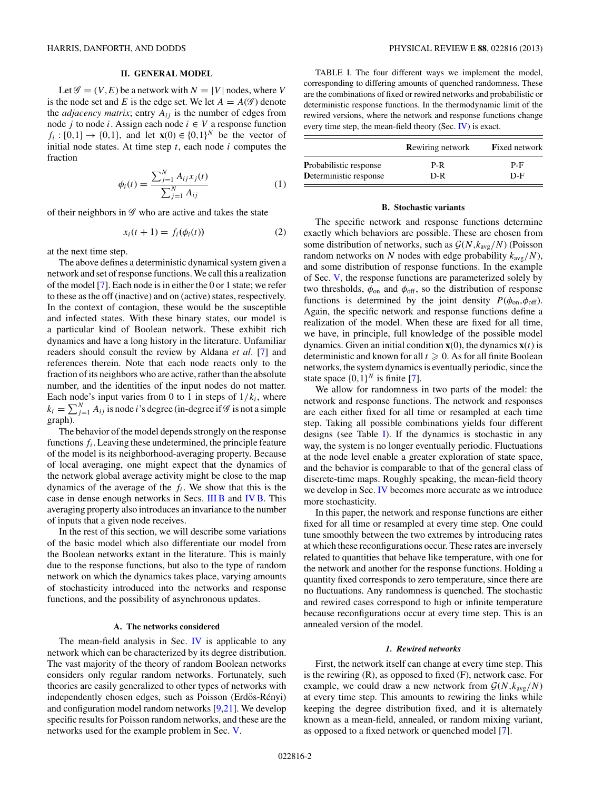# **II. GENERAL MODEL**

<span id="page-1-0"></span>Let  $\mathscr{G} = (V, E)$  be a network with  $N = |V|$  nodes, where V is the node set and E is the edge set. We let  $A = A(\mathscr{G})$  denote the *adjacency matrix*; entry  $A_{ij}$  is the number of edges from node j to node i. Assign each node  $i \in V$  a response function  $f_i : [0,1] \to \{0,1\}$ , and let **x**(0)  $\in \{0,1\}^N$  be the vector of initial node states. At time step  $t$ , each node  $i$  computes the fraction

$$
\phi_i(t) = \frac{\sum_{j=1}^{N} A_{ij} x_j(t)}{\sum_{j=1}^{N} A_{ij}}
$$
\n(1)

of their neighbors in  $\mathscr G$  who are active and takes the state

$$
x_i(t+1) = f_i(\phi_i(t))
$$
\n(2)

at the next time step.

The above defines a deterministic dynamical system given a network and set of response functions. We call this a realization of the model [\[7\]](#page-9-0). Each node is in either the 0 or 1 state; we refer to these as the off (inactive) and on (active) states, respectively. In the context of contagion, these would be the susceptible and infected states. With these binary states, our model is a particular kind of Boolean network. These exhibit rich dynamics and have a long history in the literature. Unfamiliar readers should consult the review by Aldana *et al.* [\[7\]](#page-9-0) and references therein. Note that each node reacts only to the fraction of its neighbors who are active, rather than the absolute number, and the identities of the input nodes do not matter. Each node's input varies from 0 to 1 in steps of  $1/k_i$ , where  $k_i = \sum_{j=1}^{N} A_{ij}$  is node *i*'s degree (in-degree if  $\mathscr G$  is not a simple graph).

The behavior of the model depends strongly on the response functions  $f_i$ . Leaving these undetermined, the principle feature of the model is its neighborhood-averaging property. Because of local averaging, one might expect that the dynamics of the network global average activity might be close to the map dynamics of the average of the  $f_i$ . We show that this is the case in dense enough networks in Secs. [III B](#page-2-0) and [IV B.](#page-3-0) This averaging property also introduces an invariance to the number of inputs that a given node receives.

In the rest of this section, we will describe some variations of the basic model which also differentiate our model from the Boolean networks extant in the literature. This is mainly due to the response functions, but also to the type of random network on which the dynamics takes place, varying amounts of stochasticity introduced into the networks and response functions, and the possibility of asynchronous updates.

### **A. The networks considered**

The mean-field analysis in Sec. [IV](#page-2-0) is applicable to any network which can be characterized by its degree distribution. The vast majority of the theory of random Boolean networks considers only regular random networks. Fortunately, such theories are easily generalized to other types of networks with independently chosen edges, such as Poisson (Erdös-Rényi) and configuration model random networks  $[9,21]$ . We develop specific results for Poisson random networks, and these are the networks used for the example problem in Sec. [V.](#page-4-0)

TABLE I. The four different ways we implement the model, corresponding to differing amounts of quenched randomness. These are the combinations of fixed or rewired networks and probabilistic or deterministic response functions. In the thermodynamic limit of the rewired versions, where the network and response functions change every time step, the mean-field theory (Sec. [IV\)](#page-2-0) is exact.

|                               | <b>Rewiring network</b> | <b>Fixed network</b> |
|-------------------------------|-------------------------|----------------------|
| <b>Probabilistic response</b> | P-R                     | $P-F$                |
| Deterministic response        | $D-R$                   | $D-F$                |

#### **B. Stochastic variants**

The specific network and response functions determine exactly which behaviors are possible. These are chosen from some distribution of networks, such as  $\mathcal{G}(N, k_{\text{avg}}/N)$  (Poisson random networks on N nodes with edge probability  $k_{avg}/N$ ), and some distribution of response functions. In the example of Sec. [V,](#page-4-0) the response functions are parameterized solely by two thresholds,  $\phi_{\text{on}}$  and  $\phi_{\text{off}}$ , so the distribution of response functions is determined by the joint density  $P(\phi_{\text{on}}, \phi_{\text{off}})$ . Again, the specific network and response functions define a realization of the model. When these are fixed for all time, we have, in principle, full knowledge of the possible model dynamics. Given an initial condition  $\mathbf{x}(0)$ , the dynamics  $\mathbf{x}(t)$  is deterministic and known for all  $t \geqslant 0$ . As for all finite Boolean networks, the system dynamics is eventually periodic, since the state space  $\{0,1\}^N$  is finite [\[7\]](#page-9-0).

We allow for randomness in two parts of the model: the network and response functions. The network and responses are each either fixed for all time or resampled at each time step. Taking all possible combinations yields four different designs (see Table I). If the dynamics is stochastic in any way, the system is no longer eventually periodic. Fluctuations at the node level enable a greater exploration of state space, and the behavior is comparable to that of the general class of discrete-time maps. Roughly speaking, the mean-field theory we develop in Sec. [IV](#page-2-0) becomes more accurate as we introduce more stochasticity.

In this paper, the network and response functions are either fixed for all time or resampled at every time step. One could tune smoothly between the two extremes by introducing rates at which these reconfigurations occur. These rates are inversely related to quantities that behave like temperature, with one for the network and another for the response functions. Holding a quantity fixed corresponds to zero temperature, since there are no fluctuations. Any randomness is quenched. The stochastic and rewired cases correspond to high or infinite temperature because reconfigurations occur at every time step. This is an annealed version of the model.

#### *1. Rewired networks*

First, the network itself can change at every time step. This is the rewiring (R), as opposed to fixed (F), network case. For example, we could draw a new network from  $\mathcal{G}(N, k_{avg}/N)$ at every time step. This amounts to rewiring the links while keeping the degree distribution fixed, and it is alternately known as a mean-field, annealed, or random mixing variant, as opposed to a fixed network or quenched model [\[7\]](#page-9-0).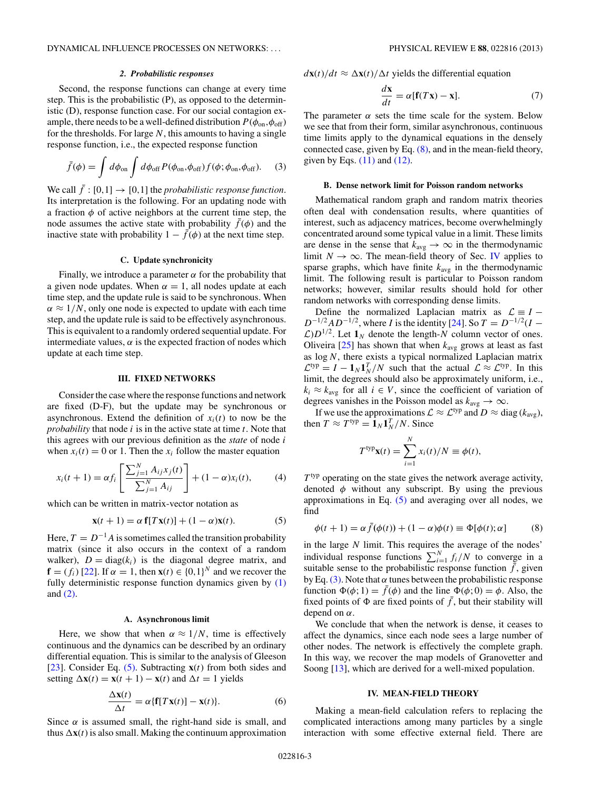# *2. Probabilistic responses*

<span id="page-2-0"></span>Second, the response functions can change at every time step. This is the probabilistic (P), as opposed to the deterministic (D), response function case. For our social contagion example, there needs to be a well-defined distribution  $P(\phi_{\text{on}}, \phi_{\text{off}})$ for the thresholds. For large  $N$ , this amounts to having a single response function, i.e., the expected response function

$$
\bar{f}(\phi) = \int d\phi_{\text{on}} \int d\phi_{\text{off}} P(\phi_{\text{on}}, \phi_{\text{off}}) f(\phi; \phi_{\text{on}}, \phi_{\text{off}}). \tag{3}
$$

We call  $\bar{f}: [0,1] \to [0,1]$  the *probabilistic response function*. Its interpretation is the following. For an updating node with a fraction  $\phi$  of active neighbors at the current time step, the node assumes the active state with probability  $\bar{f}(\phi)$  and the inactive state with probability  $1 - \bar{f}(\phi)$  at the next time step.

# **C. Update synchronicity**

Finally, we introduce a parameter  $\alpha$  for the probability that a given node updates. When  $\alpha = 1$ , all nodes update at each time step, and the update rule is said to be synchronous. When  $\alpha \approx 1/N$ , only one node is expected to update with each time step, and the update rule is said to be effectively asynchronous. This is equivalent to a randomly ordered sequential update. For intermediate values,  $\alpha$  is the expected fraction of nodes which update at each time step.

#### **III. FIXED NETWORKS**

Consider the case where the response functions and network are fixed (D-F), but the update may be synchronous or asynchronous. Extend the definition of  $x_i(t)$  to now be the *probability* that node *i* is in the active state at time *t*. Note that this agrees with our previous definition as the *state* of node i when  $x_i(t) = 0$  or 1. Then the  $x_i$  follow the master equation

$$
x_i(t+1) = \alpha f_i \left[ \frac{\sum_{j=1}^{N} A_{ij} x_j(t)}{\sum_{j=1}^{N} A_{ij}} \right] + (1 - \alpha) x_i(t), \tag{4}
$$

which can be written in matrix-vector notation as

$$
\mathbf{x}(t+1) = \alpha \mathbf{f}[T\mathbf{x}(t)] + (1-\alpha)\mathbf{x}(t). \tag{5}
$$

Here,  $T = D^{-1}A$  is sometimes called the transition probability matrix (since it also occurs in the context of a random walker),  $D = diag(k<sub>i</sub>)$  is the diagonal degree matrix, and  $\mathbf{f} = (f_i)$  [\[22\]](#page-9-0). If  $\alpha = 1$ , then  $\mathbf{x}(t) \in \{0,1\}^N$  and we recover the fully deterministic response function dynamics given by  $(1)$ and [\(2\).](#page-1-0)

#### **A. Asynchronous limit**

Here, we show that when  $\alpha \approx 1/N$ , time is effectively continuous and the dynamics can be described by an ordinary differential equation. This is similar to the analysis of Gleeson [\[23\]](#page-9-0). Consider Eq.  $(5)$ . Subtracting  $\mathbf{x}(t)$  from both sides and setting  $\Delta \mathbf{x}(t) = \mathbf{x}(t+1) - \mathbf{x}(t)$  and  $\Delta t = 1$  yields

$$
\frac{\Delta \mathbf{x}(t)}{\Delta t} = \alpha \{ \mathbf{f} [T \mathbf{x}(t)] - \mathbf{x}(t) \}.
$$
 (6)

Since  $\alpha$  is assumed small, the right-hand side is small, and thus  $\Delta x(t)$  is also small. Making the continuum approximation

 $d\mathbf{x}(t)/dt \approx \Delta \mathbf{x}(t)/\Delta t$  yields the differential equation

$$
\frac{d\mathbf{x}}{dt} = \alpha [\mathbf{f}(T\mathbf{x}) - \mathbf{x}]. \tag{7}
$$

The parameter  $\alpha$  sets the time scale for the system. Below we see that from their form, similar asynchronous, continuous time limits apply to the dynamical equations in the densely connected case, given by Eq. (8), and in the mean-field theory, given by Eqs.  $(11)$  and  $(12)$ .

# **B. Dense network limit for Poisson random networks**

Mathematical random graph and random matrix theories often deal with condensation results, where quantities of interest, such as adjacency matrices, become overwhelmingly concentrated around some typical value in a limit. These limits are dense in the sense that  $k_{avg} \rightarrow \infty$  in the thermodynamic limit  $N \to \infty$ . The mean-field theory of Sec. IV applies to sparse graphs, which have finite  $k_{\text{avg}}$  in the thermodynamic limit. The following result is particular to Poisson random networks; however, similar results should hold for other random networks with corresponding dense limits.

Define the normalized Laplacian matrix as  $\mathcal{L} \equiv I D^{-1/2}AD^{-1/2}$ , where I is the identity [\[24\]](#page-9-0). So  $T = D^{-1/2}(I \mathcal{L}$ ) $D^{1/2}$ . Let  $\mathbf{1}_N$  denote the length-N column vector of ones. Oliveira  $[25]$  has shown that when  $k_{avg}$  grows at least as fast as  $log N$ , there exists a typical normalized Laplacian matrix  $\mathcal{L}^{\text{typ}} = I - \mathbf{1}_N \mathbf{1}_N^T / N$  such that the actual  $\mathcal{L} \approx \mathcal{L}^{\text{typ}}$ . In this limit, the degrees should also be approximately uniform, i.e.,  $k_i \approx k_{avg}$  for all  $i \in V$ , since the coefficient of variation of degrees vanishes in the Poisson model as  $k_{\text{avg}} \rightarrow \infty$ .

If we use the approximations  $\mathcal{L} \approx \mathcal{L}^{typ}$  and  $D \approx diag(k_{avg})$ , then  $T \approx T^{\text{typ}} = \mathbf{1}_N \mathbf{1}_N^T/N$ . Since

$$
T^{\text{typ}}\mathbf{x}(t) = \sum_{i=1}^{N} x_i(t)/N \equiv \phi(t),
$$

 $T^{typ}$  operating on the state gives the network average activity, denoted  $\phi$  without any subscript. By using the previous approximations in Eq.  $(5)$  and averaging over all nodes, we find

$$
\phi(t+1) = \alpha \bar{f}(\phi(t)) + (1-\alpha)\phi(t) \equiv \Phi[\phi(t); \alpha]
$$
 (8)

in the large  $N$  limit. This requires the average of the nodes' individual response functions  $\sum_{i=1}^{N} f_i/N$  to converge in a suitable sense to the probabilistic response function  $\bar{f}$ , given by Eq. (3). Note that  $\alpha$  tunes between the probabilistic response function  $\Phi(\phi; 1) = \bar{f}(\phi)$  and the line  $\Phi(\phi; 0) = \phi$ . Also, the fixed points of  $\Phi$  are fixed points of  $\bar{f}$ , but their stability will depend on  $\alpha$ .

We conclude that when the network is dense, it ceases to affect the dynamics, since each node sees a large number of other nodes. The network is effectively the complete graph. In this way, we recover the map models of Granovetter and Soong [\[13\]](#page-9-0), which are derived for a well-mixed population.

# **IV. MEAN-FIELD THEORY**

Making a mean-field calculation refers to replacing the complicated interactions among many particles by a single interaction with some effective external field. There are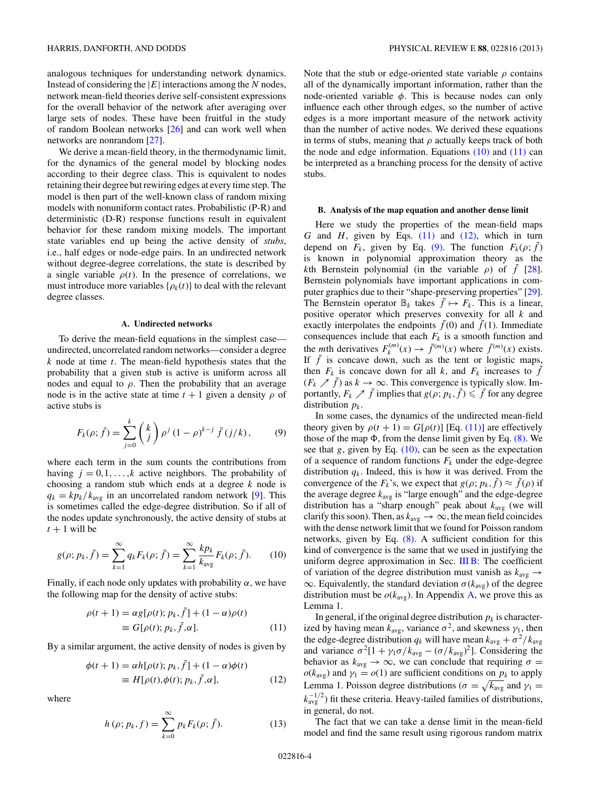<span id="page-3-0"></span>analogous techniques for understanding network dynamics. Instead of considering the  $|E|$  interactions among the N nodes, network mean-field theories derive self-consistent expressions for the overall behavior of the network after averaging over large sets of nodes. These have been fruitful in the study of random Boolean networks [\[26\]](#page-9-0) and can work well when networks are nonrandom [\[27\]](#page-9-0).

We derive a mean-field theory, in the thermodynamic limit, for the dynamics of the general model by blocking nodes according to their degree class. This is equivalent to nodes retaining their degree but rewiring edges at every time step. The model is then part of the well-known class of random mixing models with nonuniform contact rates. Probabilistic (P-R) and deterministic (D-R) response functions result in equivalent behavior for these random mixing models. The important state variables end up being the active density of *stubs*, i.e., half edges or node-edge pairs. In an undirected network without degree-degree correlations, the state is described by a single variable  $\rho(t)$ . In the presence of correlations, we must introduce more variables  $\{\rho_k(t)\}\$  to deal with the relevant degree classes.

# **A. Undirected networks**

To derive the mean-field equations in the simplest case undirected, uncorrelated random networks—consider a degree  $k$  node at time  $t$ . The mean-field hypothesis states that the probability that a given stub is active is uniform across all nodes and equal to  $\rho$ . Then the probability that an average node is in the active state at time  $t + 1$  given a density  $\rho$  of active stubs is

$$
F_k(\rho; \bar{f}) = \sum_{j=0}^k {k \choose j} \rho^j (1-\rho)^{k-j} \bar{f}(j/k), \qquad (9)
$$

where each term in the sum counts the contributions from having  $j = 0, 1, \ldots, k$  active neighbors. The probability of choosing a random stub which ends at a degree  $k$  node is  $q_k = k p_k / k_{avg}$  in an uncorrelated random network [\[9\]](#page-9-0). This is sometimes called the edge-degree distribution. So if all of the nodes update synchronously, the active density of stubs at  $t + 1$  will be

$$
g(\rho; p_k, \bar{f}) = \sum_{k=1}^{\infty} q_k F_k(\rho; \bar{f}) = \sum_{k=1}^{\infty} \frac{k p_k}{k_{\text{avg}}} F_k(\rho; \bar{f}). \tag{10}
$$

Finally, if each node only updates with probability  $\alpha$ , we have the following map for the density of active stubs:

$$
\rho(t+1) = \alpha g[\rho(t); p_k, \bar{f}] + (1 - \alpha)\rho(t)
$$
  

$$
\equiv G[\rho(t); p_k, \bar{f}, \alpha].
$$
 (11)

By a similar argument, the active density of nodes is given by

$$
\begin{aligned} \phi(t+1) &= \alpha h[\rho(t); p_k, \bar{f}] + (1-\alpha)\phi(t) \\ &= H[\rho(t), \phi(t); p_k, \bar{f}, \alpha], \end{aligned} \tag{12}
$$

where

$$
h(\rho; p_k, f) = \sum_{k=0}^{\infty} p_k F_k(\rho; \bar{f}).
$$
 (13)

Note that the stub or edge-oriented state variable  $\rho$  contains all of the dynamically important information, rather than the node-oriented variable  $\phi$ . This is because nodes can only influence each other through edges, so the number of active edges is a more important measure of the network activity than the number of active nodes. We derived these equations in terms of stubs, meaning that  $\rho$  actually keeps track of both the node and edge information. Equations  $(10)$  and  $(11)$  can be interpreted as a branching process for the density of active stubs.

### **B. Analysis of the map equation and another dense limit**

Here we study the properties of the mean-field maps G and H, given by Eqs.  $(11)$  and  $(12)$ , which in turn depend on  $F_k$ , given by Eq. (9). The function  $F_k(\rho; f)$ is known in polynomial approximation theory as the kth Bernstein polynomial (in the variable  $\rho$ ) of  $\bar{f}$  [\[28\]](#page-9-0). Bernstein polynomials have important applications in computer graphics due to their "shape-preserving properties" [\[29\]](#page-9-0). The Bernstein operator  $\mathbb{B}_k$  takes  $\bar{f} \mapsto F_k$ . This is a linear, positive operator which preserves convexity for all  $k$  and exactly interpolates the endpoints  $f(0)$  and  $f(1)$ . Immediate consequences include that each  $F_k$  is a smooth function and the *m*th derivatives  $F_k^{(m)}(x) \to \bar{f}^{(m)}(x)$  where  $\bar{f}^{(m)}(x)$  exists. If  $\bar{f}$  is concave down, such as the tent or logistic maps, then  $F_k$  is concave down for all k, and  $F_k$  increases to  $\bar{f}$  $(F_k \nearrow \bar{f})$  as  $k \to \infty$ . This convergence is typically slow. Importantly,  $F_k \nearrow \bar{f}$  implies that  $g(\rho; p_k, \bar{f}) \leq \bar{f}$  for any degree distribution  $p_k$ .

In some cases, the dynamics of the undirected mean-field theory given by  $\rho(t + 1) = G[\rho(t)]$  [Eq. (11)] are effectively those of the map  $\Phi$ , from the dense limit given by Eq. [\(8\).](#page-2-0) We see that  $g$ , given by Eq.  $(10)$ , can be seen as the expectation of a sequence of random functions  $F_k$  under the edge-degree distribution  $q_k$ . Indeed, this is how it was derived. From the convergence of the  $F_k$ 's, we expect that  $g(\rho; p_k, f) \approx f(\rho)$  if the average degree  $k_{avg}$  is "large enough" and the edge-degree distribution has a "sharp enough" peak about  $k_{avg}$  (we will clarify this soon). Then, as  $k_{avg} \rightarrow \infty$ , the mean field coincides with the dense network limit that we found for Poisson random networks, given by Eq. [\(8\).](#page-2-0) A sufficient condition for this kind of convergence is the same that we used in justifying the uniform degree approximation in Sec. [III B:](#page-2-0) The coefficient of variation of the degree distribution must vanish as  $k_{avg} \rightarrow$  $\infty$ . Equivalently, the standard deviation  $\sigma(k_{avg})$  of the degree distribution must be  $o(k_{avg})$ . In Appendix [A,](#page-8-0) we prove this as Lemma 1.

In general, if the original degree distribution  $p_k$  is characterized by having mean  $k_{avg}$ , variance  $\sigma^2$ , and skewness  $\gamma_1$ , then the edge-degree distribution  $q_k$  will have mean  $k_{avg} + \sigma^2/k_{avg}$ and variance  $\sigma^2[1 + \gamma_1 \sigma / k_{\text{avg}} - (\sigma / k_{\text{avg}})^2]$ . Considering the behavior as  $k_{avg} \rightarrow \infty$ , we can conclude that requiring  $\sigma =$  $o(k_{avg})$  and  $\gamma_1 = o(1)$  are sufficient conditions on  $p_k$  to apply Lemma 1. Poisson degree distributions ( $\sigma = \sqrt{k_{\text{avg}}}$  and  $\gamma_1 =$  $k_{\text{avg}}^{-1/2}$ ) fit these criteria. Heavy-tailed families of distributions, in general, do not.

The fact that we can take a dense limit in the mean-field model and find the same result using rigorous random matrix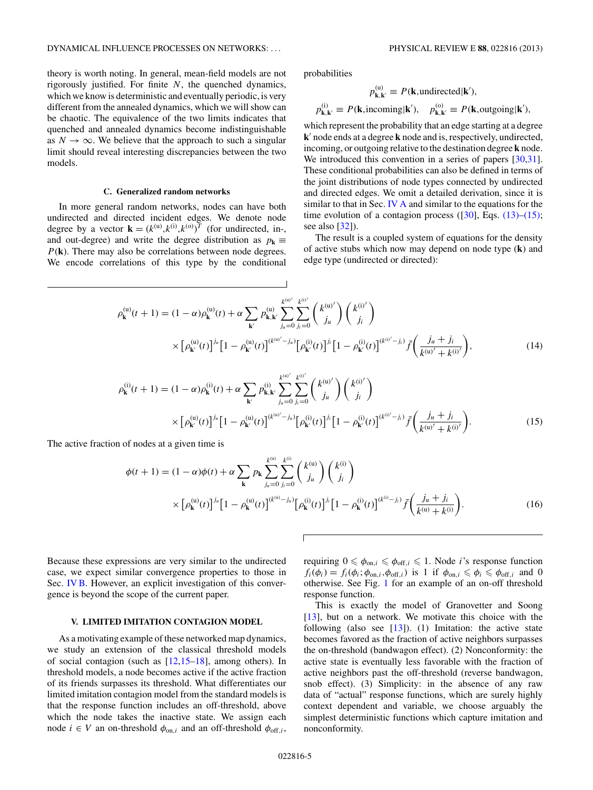<span id="page-4-0"></span>theory is worth noting. In general, mean-field models are not rigorously justified. For finite  $N$ , the quenched dynamics, which we know is deterministic and eventually periodic, is very different from the annealed dynamics, which we will show can be chaotic. The equivalence of the two limits indicates that quenched and annealed dynamics become indistinguishable as  $N \to \infty$ . We believe that the approach to such a singular limit should reveal interesting discrepancies between the two models.

#### **C. Generalized random networks**

In more general random networks, nodes can have both undirected and directed incident edges. We denote node degree by a vector  $\mathbf{k} = (k^{(u)}, k^{(i)}, k^{(o)})^T$  (for undirected, in-, and out-degree) and write the degree distribution as  $p_k \equiv$ P(**k**). There may also be correlations between node degrees. We encode correlations of this type by the conditional probabilities

$$
p_{\mathbf{k},\mathbf{k}'}^{(u)} \equiv P(\mathbf{k},\text{undirected}|\mathbf{k}'),
$$
  

$$
p_{\mathbf{k},\mathbf{k}'}^{(i)} \equiv P(\mathbf{k},\text{incoming}|\mathbf{k}'), \quad p_{\mathbf{k},\mathbf{k}'}^{(o)} \equiv P(\mathbf{k},\text{outgoing}|\mathbf{k}'),
$$

which represent the probability that an edge starting at a degree **k**) node ends at a degree **k** node and is, respectively, undirected, incoming, or outgoing relative to the destination degree **k** node. We introduced this convention in a series of papers [\[30,31\]](#page-9-0). These conditional probabilities can also be defined in terms of the joint distributions of node types connected by undirected and directed edges. We omit a detailed derivation, since it is similar to that in Sec. [IV A](#page-3-0) and similar to the equations for the time evolution of a contagion process  $([30],$  $([30],$  $([30],$  Eqs.  $(13)$ – $(15)$ ; see also  $[32]$ ).

The result is a coupled system of equations for the density of active stubs which now may depend on node type (**k**) and edge type (undirected or directed):

$$
\rho_{\mathbf{k}}^{(u)}(t+1) = (1-\alpha)\rho_{\mathbf{k}}^{(u)}(t) + \alpha \sum_{\mathbf{k}'} p_{\mathbf{k},\mathbf{k}'}^{(u)} \sum_{j_u=0}^{k^{(u)'}-k^{(i)'} \choose j_u} {k^{(i)'} \choose j_l} {k^{(i)'} \choose j_l}
$$

$$
\times \left[\rho_{\mathbf{k}'}^{(u)}(t)\right]^{j_u} \left[1 - \rho_{\mathbf{k}'}^{(u)}(t)\right]^{(k^{(u)'}-j_u)} \left[\rho_{\mathbf{k}'}^{(i)}(t)\right]^{j_l} \left[1 - \rho_{\mathbf{k}'}^{(i)}(t)\right]^{(k^{(i)'}-j_l)} \bar{f}\left(\frac{j_u+j_i}{k^{(u)'}+k^{(i)'}}\right),\tag{14}
$$

$$
\rho_{\mathbf{k}}^{(i)}(t+1) = (1-\alpha)\rho_{\mathbf{k}}^{(i)}(t) + \alpha \sum_{\mathbf{k}'} p_{\mathbf{k},\mathbf{k}'}^{(i)} \sum_{j_u=0}^{k^{(u)'}j_i} \binom{k^{(u)'}j_i}{j_u} \binom{k^{(i)'}j_i}{j_i}
$$
\n
$$
\times \left[\rho_{\mathbf{k}'}^{(u)}(t)\right]^{j_u} \left[1 - \rho_{\mathbf{k}'}^{(u)}(t)\right]^{(k^{(u)'}-j_u)} \left[\rho_{\mathbf{k}'}^{(i)}(t)\right]^{j_i} \left[1 - \rho_{\mathbf{k}'}^{(i)}(t)\right]^{(k^{(i)'}-j_i)} \bar{f}\left(\frac{j_u+j_i}{k^{(u)'}+k^{(i)'}}\right). \tag{15}
$$

The active fraction of nodes at a given time is

$$
\phi(t+1) = (1-\alpha)\phi(t) + \alpha \sum_{\mathbf{k}} p_{\mathbf{k}} \sum_{j_u=0}^{k^{(0)}} \sum_{j_i=0}^{k^{(0)}} \binom{k^{(u)}}{j_u} \binom{k^{(i)}}{j_i}
$$

$$
\times \left[ \rho_{\mathbf{k}}^{(u)}(t) \right]^{j_u} \left[ 1 - \rho_{\mathbf{k}}^{(u)}(t) \right]^{(k^{(0)}-j_u)} \left[ \rho_{\mathbf{k}}^{(i)}(t) \right]^{j_i} \left[ 1 - \rho_{\mathbf{k}}^{(i)}(t) \right]^{(k^{(0)}-j_i)} \bar{f} \left( \frac{j_u + j_i}{k^{(u)} + k^{(i)}} \right). \tag{16}
$$

Because these expressions are very similar to the undirected case, we expect similar convergence properties to those in Sec. [IV B.](#page-3-0) However, an explicit investigation of this convergence is beyond the scope of the current paper.

# **V. LIMITED IMITATION CONTAGION MODEL**

As a motivating example of these networked map dynamics, we study an extension of the classical threshold models of social contagion (such as  $[12,15-18]$ , among others). In threshold models, a node becomes active if the active fraction of its friends surpasses its threshold. What differentiates our limited imitation contagion model from the standard models is that the response function includes an off-threshold, above which the node takes the inactive state. We assign each node  $i \in V$  an on-threshold  $\phi_{\text{on},i}$  and an off-threshold  $\phi_{\text{off},i}$ ,

requiring  $0 \n\leq \phi_{on,i} \leq \phi_{off,i} \leq 1$ . Node *i*'s response function  $f_i(\phi_i) = f_i(\phi_i; \phi_{\text{on},i}, \phi_{\text{off},i})$  is 1 if  $\phi_{\text{on},i} \leq \phi_i \leq \phi_{\text{off},i}$  and 0 otherwise. See Fig. [1](#page-5-0) for an example of an on-off threshold response function.

This is exactly the model of Granovetter and Soong [\[13\]](#page-9-0), but on a network. We motivate this choice with the following (also see  $[13]$ ). (1) Imitation: the active state becomes favored as the fraction of active neighbors surpasses the on-threshold (bandwagon effect). (2) Nonconformity: the active state is eventually less favorable with the fraction of active neighbors past the off-threshold (reverse bandwagon, snob effect). (3) Simplicity: in the absence of any raw data of "actual" response functions, which are surely highly context dependent and variable, we choose arguably the simplest deterministic functions which capture imitation and nonconformity.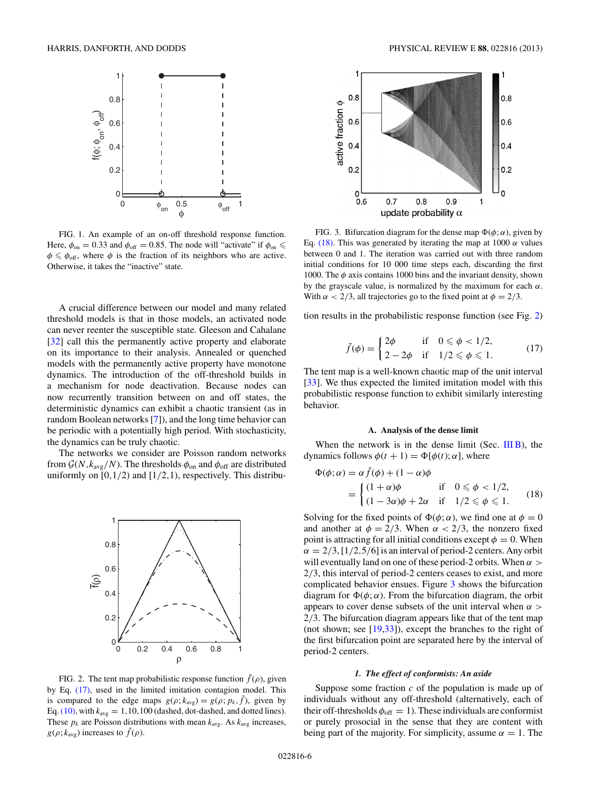<span id="page-5-0"></span>

FIG. 1. An example of an on-off threshold response function. Here,  $\phi_{\text{on}} = 0.33$  and  $\phi_{\text{off}} = 0.85$ . The node will "activate" if  $\phi_{\text{on}} \leq$  $\phi \leq \phi_{\text{off}}$ , where  $\phi$  is the fraction of its neighbors who are active. Otherwise, it takes the "inactive" state.

A crucial difference between our model and many related threshold models is that in those models, an activated node can never reenter the susceptible state. Gleeson and Cahalane [\[32\]](#page-9-0) call this the permanently active property and elaborate on its importance to their analysis. Annealed or quenched models with the permanently active property have monotone dynamics. The introduction of the off-threshold builds in a mechanism for node deactivation. Because nodes can now recurrently transition between on and off states, the deterministic dynamics can exhibit a chaotic transient (as in random Boolean networks [\[7\]](#page-9-0)), and the long time behavior can be periodic with a potentially high period. With stochasticity, the dynamics can be truly chaotic.

The networks we consider are Poisson random networks from  $\mathcal{G}(N, k_{\text{avg}}/N)$ . The thresholds  $\phi_{\text{on}}$  and  $\phi_{\text{off}}$  are distributed uniformly on  $[0,1/2)$  and  $[1/2,1)$ , respectively. This distribu-



FIG. 2. The tent map probabilistic response function  $\bar{f}(\rho)$ , given by Eq. (17), used in the limited imitation contagion model. This is compared to the edge maps  $g(\rho; k_{\text{avg}}) = g(\rho; p_k, \bar{f})$ , given by Eq. [\(10\),](#page-3-0) with  $k_{\text{avg}} = 1,10,100$  (dashed, dot-dashed, and dotted lines). These  $p_k$  are Poisson distributions with mean  $k_{avg}$ . As  $k_{avg}$  increases,  $g(\rho; k_{\text{avg}})$  increases to  $\bar{f}(\rho)$ .



FIG. 3. Bifurcation diagram for the dense map  $\Phi(\phi; \alpha)$ , given by Eq. (18). This was generated by iterating the map at 1000  $\alpha$  values between 0 and 1. The iteration was carried out with three random initial conditions for 10 000 time steps each, discarding the first 1000. The  $\phi$  axis contains 1000 bins and the invariant density, shown by the grayscale value, is normalized by the maximum for each  $\alpha$ . With  $\alpha < 2/3$ , all trajectories go to the fixed point at  $\phi = 2/3$ .

tion results in the probabilistic response function (see Fig. 2)

$$
\bar{f}(\phi) = \begin{cases}\n2\phi & \text{if } 0 \leq \phi < 1/2, \\
2 - 2\phi & \text{if } 1/2 \leq \phi \leq 1.\n\end{cases}
$$
\n
$$
(17)
$$

The tent map is a well-known chaotic map of the unit interval [\[33\]](#page-9-0). We thus expected the limited imitation model with this probabilistic response function to exhibit similarly interesting behavior.

## **A. Analysis of the dense limit**

When the network is in the dense limit (Sec.  $IIIB$ ), the dynamics follows  $\phi(t + 1) = \Phi[\phi(t); \alpha]$ , where

$$
\Phi(\phi; \alpha) = \alpha \bar{f}(\phi) + (1 - \alpha)\phi
$$
  
= 
$$
\begin{cases} (1 + \alpha)\phi & \text{if } 0 \leq \phi < 1/2, \\ (1 - 3\alpha)\phi + 2\alpha & \text{if } 1/2 \leq \phi \leq 1. \end{cases}
$$
 (18)

Solving for the fixed points of  $\Phi(\phi; \alpha)$ , we find one at  $\phi = 0$ and another at  $\phi = 2/3$ . When  $\alpha < 2/3$ , the nonzero fixed point is attracting for all initial conditions except  $\phi = 0$ . When  $\alpha = 2/3$ , [1/2,5/6] is an interval of period-2 centers. Any orbit will eventually land on one of these period-2 orbits. When  $\alpha >$ 2/3, this interval of period-2 centers ceases to exist, and more complicated behavior ensues. Figure 3 shows the bifurcation diagram for  $\Phi(\phi; \alpha)$ . From the bifurcation diagram, the orbit appears to cover dense subsets of the unit interval when  $\alpha$ 2/3. The bifurcation diagram appears like that of the tent map (not shown; see [\[19,33\]](#page-9-0)), except the branches to the right of the first bifurcation point are separated here by the interval of period-2 centers.

#### *1. The effect of conformists: An aside*

Suppose some fraction  $c$  of the population is made up of individuals without any off-threshold (alternatively, each of their off-thresholds  $\phi_{\text{off}} = 1$ ). These individuals are conformist or purely prosocial in the sense that they are content with being part of the majority. For simplicity, assume  $\alpha = 1$ . The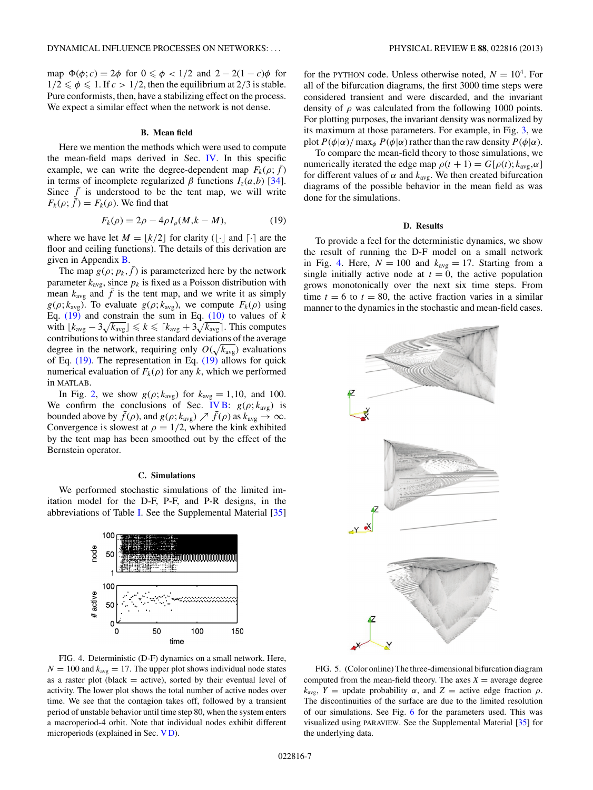<span id="page-6-0"></span>map  $\Phi(\phi; c) = 2\phi$  for  $0 \le \phi < 1/2$  and  $2 - 2(1 - c)\phi$  for  $1/2 \le \phi \le 1$ . If  $c > 1/2$ , then the equilibrium at 2/3 is stable. Pure conformists, then, have a stabilizing effect on the process. We expect a similar effect when the network is not dense.

# **B. Mean field**

Here we mention the methods which were used to compute the mean-field maps derived in Sec. [IV.](#page-2-0) In this specific example, we can write the degree-dependent map  $F_k(\rho; \bar{f})$ in terms of incomplete regularized  $\beta$  functions  $I_7(a,b)$  [\[34\]](#page-9-0). Since  $\bar{f}$  is understood to be the tent map, we will write  $F_k(\rho; \bar{f}) = F_k(\rho)$ . We find that

$$
F_k(\rho) = 2\rho - 4\rho I_\rho(M, k - M), \tag{19}
$$

where we have let  $M = \lfloor k/2 \rfloor$  for clarity ( $\lfloor \cdot \rfloor$  and  $\lceil \cdot \rceil$  are the floor and ceiling functions). The details of this derivation are given in Appendix [B.](#page-9-0)

The map  $g(\rho; p_k, \bar{f})$  is parameterized here by the network parameter  $k_{avg}$ , since  $p_k$  is fixed as a Poisson distribution with mean  $k_{\text{avg}}$  and  $\bar{f}$  is the tent map, and we write it as simply  $g(\rho; k_{avg})$ . To evaluate  $g(\rho; k_{avg})$ , we compute  $F_k(\rho)$  using Eq.  $(19)$  and constrain the sum in Eq.  $(10)$  to values of k with  $\lfloor k_{\text{avg}} - 3\sqrt{k_{\text{avg}}} \rfloor \le k \le \lceil k_{\text{avg}} + 3\sqrt{k_{\text{avg}}} \rceil$ . This computes contributions to within three standard deviations of the average degree in the network, requiring only  $O(\sqrt{k_{\rm avg}})$  evaluations of Eq. (19). The representation in Eq. (19) allows for quick numerical evaluation of  $F_k(\rho)$  for any k, which we performed in MATLAB.

In Fig. [2,](#page-5-0) we show  $g(\rho; k_{avg})$  for  $k_{avg} = 1, 10$ , and 100. We confirm the conclusions of Sec. [IV B:](#page-3-0)  $g(\rho; k_{avg})$  is bounded above by  $\bar{f}(\rho)$ , and  $g(\rho; k_{\text{avg}}) \nearrow \bar{f}(\rho)$  as  $k_{\text{avg}} \rightarrow \infty$ . Convergence is slowest at  $\rho = 1/2$ , where the kink exhibited by the tent map has been smoothed out by the effect of the Bernstein operator.

# **C. Simulations**

We performed stochastic simulations of the limited imitation model for the D-F, P-F, and P-R designs, in the abbreviations of Table [I.](#page-1-0) See the Supplemental Material [\[35\]](#page-9-0)



FIG. 4. Deterministic (D-F) dynamics on a small network. Here,  $N = 100$  and  $k_{avg} = 17$ . The upper plot shows individual node states as a raster plot (black  $=$  active), sorted by their eventual level of activity. The lower plot shows the total number of active nodes over time. We see that the contagion takes off, followed by a transient period of unstable behavior until time step 80, when the system enters a macroperiod-4 orbit. Note that individual nodes exhibit different microperiods (explained in Sec. V D).

for the PYTHON code. Unless otherwise noted,  $N = 10^4$ . For all of the bifurcation diagrams, the first 3000 time steps were considered transient and were discarded, and the invariant density of  $\rho$  was calculated from the following 1000 points. For plotting purposes, the invariant density was normalized by its maximum at those parameters. For example, in Fig. [3,](#page-5-0) we plot  $P(\phi|\alpha)$ / max<sub>φ</sub>  $P(\phi|\alpha)$  rather than the raw density  $P(\phi|\alpha)$ .

To compare the mean-field theory to those simulations, we numerically iterated the edge map  $\rho(t + 1) = G[\rho(t); k_{\text{avg}}, \alpha]$ for different values of  $\alpha$  and  $k_{avg}$ . We then created bifurcation diagrams of the possible behavior in the mean field as was done for the simulations.

#### **D. Results**

To provide a feel for the deterministic dynamics, we show the result of running the D-F model on a small network in Fig. 4. Here,  $N = 100$  and  $k_{avg} = 17$ . Starting from a single initially active node at  $t = 0$ , the active population grows monotonically over the next six time steps. From time  $t = 6$  to  $t = 80$ , the active fraction varies in a similar manner to the dynamics in the stochastic and mean-field cases.



FIG. 5. (Color online) The three-dimensional bifurcation diagram computed from the mean-field theory. The axes  $X =$  average degree  $k_{\text{avg}}$ , *Y* = update probability  $\alpha$ , and *Z* = active edge fraction  $\rho$ . The discontinuities of the surface are due to the limited resolution of our simulations. See Fig. [6](#page-7-0) for the parameters used. This was visualized using PARAVIEW. See the Supplemental Material [\[35\]](#page-9-0) for the underlying data.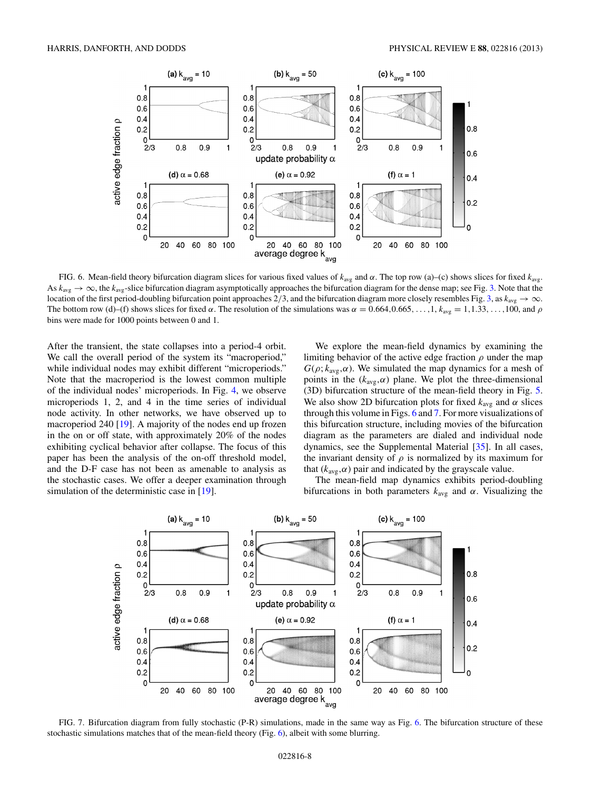<span id="page-7-0"></span>

FIG. 6. Mean-field theory bifurcation diagram slices for various fixed values of  $k_{avg}$  and α. The top row (a)–(c) shows slices for fixed  $k_{avg}$ . As  $k_{avg} \rightarrow \infty$ , the  $k_{avg}$ -slice bifurcation diagram asymptotically approaches the bifurcation diagram for the dense map; see Fig. [3.](#page-5-0) Note that the location of the first period-doubling bifurcation point approaches 2/[3,](#page-5-0) and the bifurcation diagram more closely resembles Fig. 3, as  $k_{avg} \rightarrow \infty$ . The bottom row (d)–(f) shows slices for fixed  $\alpha$ . The resolution of the simulations was  $\alpha = 0.664, 0.665, \ldots, 1, k_{avg} = 1, 1.33, \ldots, 100$ , and  $\rho$ bins were made for 1000 points between 0 and 1.

After the transient, the state collapses into a period-4 orbit. We call the overall period of the system its "macroperiod," while individual nodes may exhibit different "microperiods." Note that the macroperiod is the lowest common multiple of the individual nodes' microperiods. In Fig. [4,](#page-6-0) we observe microperiods 1, 2, and 4 in the time series of individual node activity. In other networks, we have observed up to macroperiod 240 [\[19\]](#page-9-0). A majority of the nodes end up frozen in the on or off state, with approximately 20% of the nodes exhibiting cyclical behavior after collapse. The focus of this paper has been the analysis of the on-off threshold model, and the D-F case has not been as amenable to analysis as the stochastic cases. We offer a deeper examination through simulation of the deterministic case in [\[19\]](#page-9-0).

We explore the mean-field dynamics by examining the limiting behavior of the active edge fraction  $\rho$  under the map  $G(\rho; k_{\text{avg}}, \alpha)$ . We simulated the map dynamics for a mesh of points in the  $(k_{avg}, \alpha)$  plane. We plot the three-dimensional (3D) bifurcation structure of the mean-field theory in Fig. [5.](#page-6-0) We also show 2D bifurcation plots for fixed  $k_{avg}$  and  $\alpha$  slices through this volume in Figs. 6 and 7. For more visualizations of this bifurcation structure, including movies of the bifurcation diagram as the parameters are dialed and individual node dynamics, see the Supplemental Material [\[35\]](#page-9-0). In all cases, the invariant density of  $\rho$  is normalized by its maximum for that ( $k_{avg}, \alpha$ ) pair and indicated by the grayscale value.

The mean-field map dynamics exhibits period-doubling bifurcations in both parameters  $k_{avg}$  and  $\alpha$ . Visualizing the



FIG. 7. Bifurcation diagram from fully stochastic (P-R) simulations, made in the same way as Fig. 6. The bifurcation structure of these stochastic simulations matches that of the mean-field theory (Fig. 6), albeit with some blurring.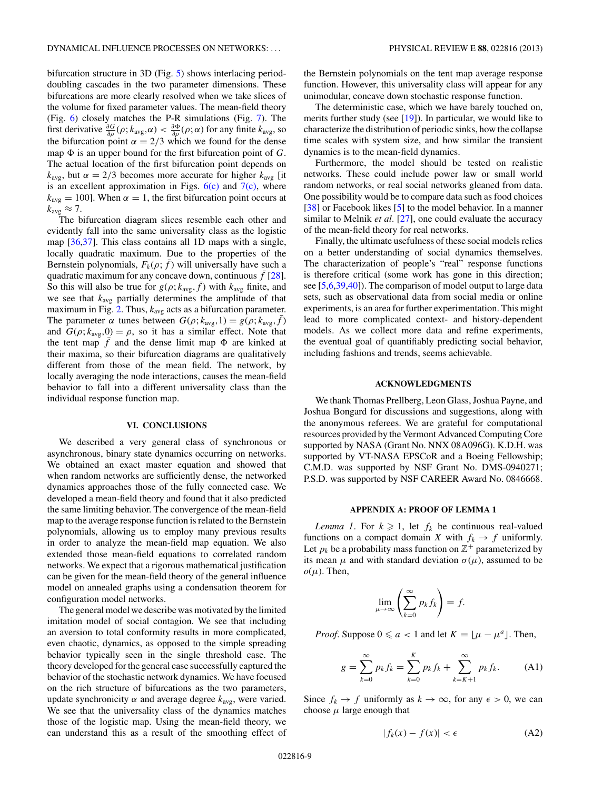<span id="page-8-0"></span>bifurcation structure in 3D (Fig. [5\)](#page-6-0) shows interlacing perioddoubling cascades in the two parameter dimensions. These bifurcations are more clearly resolved when we take slices of the volume for fixed parameter values. The mean-field theory (Fig. [6\)](#page-7-0) closely matches the P-R simulations (Fig. [7\)](#page-7-0). The first derivative  $\frac{\partial G}{\partial \rho}(\rho; k_{avg}, \alpha) < \frac{\partial \Phi}{\partial \rho}(\rho; \alpha)$  for any finite  $k_{avg}$ , so the bifurcation point  $\alpha = 2/3$  which we found for the dense map  $\Phi$  is an upper bound for the first bifurcation point of G. The actual location of the first bifurcation point depends on  $k_{\text{avg}}$ , but  $\alpha = 2/3$  becomes more accurate for higher  $k_{\text{avg}}$  [it is an excellent approximation in Figs.  $6(c)$  and  $7(c)$ , where  $k_{\text{avg}} = 100$ . When  $\alpha = 1$ , the first bifurcation point occurs at

 $k_{\text{avg}} \approx 7$ .<br>The bifurcation diagram slices resemble each other and evidently fall into the same universality class as the logistic map [\[36,37\]](#page-10-0). This class contains all 1D maps with a single, locally quadratic maximum. Due to the properties of the Bernstein polynomials,  $F_k(\rho; \bar{f})$  will universally have such a quadratic maximum for any concave down, continuous  $\bar{f}$  [\[28\]](#page-9-0). So this will also be true for  $g(\rho; k_{\text{avg}}, \bar{f})$  with  $k_{\text{avg}}$  finite, and we see that  $k_{avg}$  partially determines the amplitude of that maximum in Fig. [2.](#page-5-0) Thus,  $k_{avg}$  acts as a bifurcation parameter. The parameter  $\alpha$  tunes between  $G(\rho; k_{avg}, 1) = g(\rho; k_{avg}, \bar{f})$ and  $G(\rho; k_{\text{avg}}, 0) = \rho$ , so it has a similar effect. Note that the tent map  $\bar{f}$  and the dense limit map  $\Phi$  are kinked at their maxima, so their bifurcation diagrams are qualitatively different from those of the mean field. The network, by locally averaging the node interactions, causes the mean-field behavior to fall into a different universality class than the individual response function map.

#### **VI. CONCLUSIONS**

We described a very general class of synchronous or asynchronous, binary state dynamics occurring on networks. We obtained an exact master equation and showed that when random networks are sufficiently dense, the networked dynamics approaches those of the fully connected case. We developed a mean-field theory and found that it also predicted the same limiting behavior. The convergence of the mean-field map to the average response function is related to the Bernstein polynomials, allowing us to employ many previous results in order to analyze the mean-field map equation. We also extended those mean-field equations to correlated random networks. We expect that a rigorous mathematical justification can be given for the mean-field theory of the general influence model on annealed graphs using a condensation theorem for configuration model networks.

The general model we describe was motivated by the limited imitation model of social contagion. We see that including an aversion to total conformity results in more complicated, even chaotic, dynamics, as opposed to the simple spreading behavior typically seen in the single threshold case. The theory developed for the general case successfully captured the behavior of the stochastic network dynamics. We have focused on the rich structure of bifurcations as the two parameters, update synchronicity  $\alpha$  and average degree  $k_{\text{avg}}$ , were varied. We see that the universality class of the dynamics matches those of the logistic map. Using the mean-field theory, we can understand this as a result of the smoothing effect of the Bernstein polynomials on the tent map average response function. However, this universality class will appear for any unimodular, concave down stochastic response function.

The deterministic case, which we have barely touched on, merits further study (see [\[19\]](#page-9-0)). In particular, we would like to characterize the distribution of periodic sinks, how the collapse time scales with system size, and how similar the transient dynamics is to the mean-field dynamics.

Furthermore, the model should be tested on realistic networks. These could include power law or small world random networks, or real social networks gleaned from data. One possibility would be to compare data such as food choices [\[38\]](#page-10-0) or Facebook likes [\[5\]](#page-9-0) to the model behavior. In a manner similar to Melnik *et al.* [\[27\]](#page-9-0), one could evaluate the accuracy of the mean-field theory for real networks.

Finally, the ultimate usefulness of these social models relies on a better understanding of social dynamics themselves. The characterization of people's "real" response functions is therefore critical (some work has gone in this direction; see [\[5,6](#page-9-0)[,39,40\]](#page-10-0)). The comparison of model output to large data sets, such as observational data from social media or online experiments, is an area for further experimentation. This might lead to more complicated context- and history-dependent models. As we collect more data and refine experiments, the eventual goal of quantifiably predicting social behavior, including fashions and trends, seems achievable.

### **ACKNOWLEDGMENTS**

We thank Thomas Prellberg, Leon Glass, Joshua Payne, and Joshua Bongard for discussions and suggestions, along with the anonymous referees. We are grateful for computational resources provided by the Vermont Advanced Computing Core supported by NASA (Grant No. NNX 08A096G). K.D.H. was supported by VT-NASA EPSCoR and a Boeing Fellowship; C.M.D. was supported by NSF Grant No. DMS-0940271; P.S.D. was supported by NSF CAREER Award No. 0846668.

#### **APPENDIX A: PROOF OF LEMMA 1**

*Lemma 1*. For  $k \ge 1$ , let  $f_k$  be continuous real-valued functions on a compact domain X with  $f_k \to f$  uniformly. Let  $p_k$  be a probability mass function on  $\mathbb{Z}^+$  parameterized by its mean  $\mu$  and with standard deviation  $\sigma(\mu)$ , assumed to be  $o(\mu)$ . Then,

$$
\lim_{\mu \to \infty} \left( \sum_{k=0}^{\infty} p_k f_k \right) = f.
$$

*Proof.* Suppose  $0 \le a < 1$  and let  $K = \lfloor \mu - \mu^a \rfloor$ . Then,

$$
g = \sum_{k=0}^{\infty} p_k f_k = \sum_{k=0}^{K} p_k f_k + \sum_{k=K+1}^{\infty} p_k f_k.
$$
 (A1)

Since  $f_k \to f$  uniformly as  $k \to \infty$ , for any  $\epsilon > 0$ , we can choose  $\mu$  large enough that

$$
|f_k(x) - f(x)| < \epsilon \tag{A2}
$$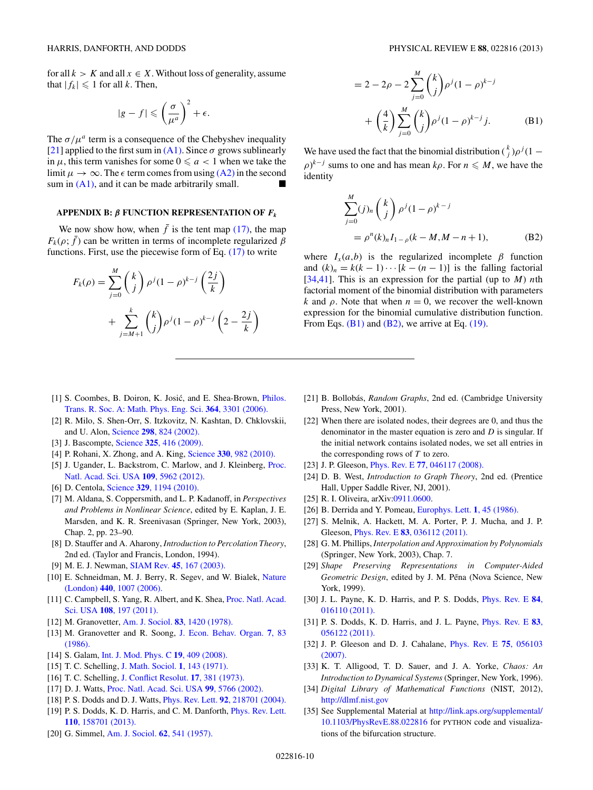<span id="page-9-0"></span>for all  $k > K$  and all  $x \in X$ . Without loss of generality, assume that  $|f_k| \leq 1$  for all k. Then,

$$
|g - f| \leqslant \left(\frac{\sigma}{\mu^a}\right)^2 + \epsilon.
$$

The  $\sigma/\mu^a$  term is a consequence of the Chebyshev inequality [21] applied to the first sum in  $(A1)$ . Since  $\sigma$  grows sublinearly in  $\mu$ , this term vanishes for some  $0 \le a < 1$  when we take the limit  $\mu \to \infty$ . The  $\epsilon$  term comes from using  $(A2)$  in the second sum in  $(A1)$ , and it can be made arbitrarily small.

# **APPENDIX B:** β **FUNCTION REPRESENTATION OF** *Fk*

We now show how, when  $\bar{f}$  is the tent map [\(17\),](#page-5-0) the map  $F_k(\rho; \bar{f})$  can be written in terms of incomplete regularized  $\beta$ functions. First, use the piecewise form of Eq.  $(17)$  to write

$$
F_k(\rho) = \sum_{j=0}^M {k \choose j} \rho^j (1-\rho)^{k-j} \left(\frac{2j}{k}\right)
$$
  
+ 
$$
\sum_{j=M+1}^k {k \choose j} \rho^j (1-\rho)^{k-j} \left(2-\frac{2j}{k}\right)
$$

$$
= 2 - 2\rho - 2\sum_{j=0}^{M} {k \choose j} \rho^{j} (1 - \rho)^{k-j} + \left(\frac{4}{k}\right) \sum_{j=0}^{M} {k \choose j} \rho^{j} (1 - \rho)^{k-j} j.
$$
 (B1)

We have used the fact that the binomial distribution  $\binom{k}{j} \rho^{j} (1 (\rho)^{k-j}$  sums to one and has mean  $k\rho$ . For  $n \leq M$ , we have the identity

$$
\sum_{j=0}^{M} (j)_n \binom{k}{j} \rho^j (1-\rho)^{k-j}
$$
  
=  $\rho^n (k)_n I_{1-\rho} (k-M, M-n+1),$  (B2)

where  $I_x(a,b)$  is the regularized incomplete  $\beta$  function and  $(k)_n = k(k-1)\cdots[k-(n-1)]$  is the falling factorial [34[,41\]](#page-10-0). This is an expression for the partial (up to  $M$ ) nth factorial moment of the binomial distribution with parameters k and  $\rho$ . Note that when  $n = 0$ , we recover the well-known expression for the binomial cumulative distribution function. From Eqs.  $(B1)$  and  $(B2)$ , we arrive at Eq. [\(19\).](#page-6-0)

- [1] S. Coombes, B. Doiron, K. Josić, and E. Shea-Brown, *[Philos.](http://dx.doi.org/10.1098/rsta.2006.1903)* [Trans. R. Soc. A: Math. Phys. Eng. Sci.](http://dx.doi.org/10.1098/rsta.2006.1903) **364**, 3301 (2006).
- [2] R. Milo, S. Shen-Orr, S. Itzkovitz, N. Kashtan, D. Chklovskii, and U. Alon, Science **298**[, 824 \(2002\).](http://dx.doi.org/10.1126/science.298.5594.824)
- [3] J. Bascompte, Science **325**[, 416 \(2009\).](http://dx.doi.org/10.1126/science.1170749)
- [4] P. Rohani, X. Zhong, and A. King, Science **330**[, 982 \(2010\).](http://dx.doi.org/10.1126/science.1194134)
- [5] J. Ugander, L. Backstrom, C. Marlow, and J. Kleinberg, [Proc.](http://dx.doi.org/10.1073/pnas.1116502109) [Natl. Acad. Sci. USA](http://dx.doi.org/10.1073/pnas.1116502109) **109**, 5962 (2012).
- [6] D. Centola, Science **329**[, 1194 \(2010\).](http://dx.doi.org/10.1126/science.1185231)
- [7] M. Aldana, S. Coppersmith, and L. P. Kadanoff, in *Perspectives and Problems in Nonlinear Science*, edited by E. Kaplan, J. E. Marsden, and K. R. Sreenivasan (Springer, New York, 2003), Chap. 2, pp. 23–90.
- [8] D. Stauffer and A. Aharony, *Introduction to Percolation Theory*, 2nd ed. (Taylor and Francis, London, 1994).
- [9] M. E. J. Newman, SIAM Rev. **45**[, 167 \(2003\).](http://dx.doi.org/10.1137/S003614450342480)
- [10] E. Schneidman, M. J. Berry, R. Segev, and W. Bialek, [Nature](http://dx.doi.org/10.1038/nature04701) (London) **440**[, 1007 \(2006\).](http://dx.doi.org/10.1038/nature04701)
- [11] C. Campbell, S. Yang, R. Albert, and K. Shea, [Proc. Natl. Acad.](http://dx.doi.org/10.1073/pnas.1008204108) Sci. USA **108**[, 197 \(2011\).](http://dx.doi.org/10.1073/pnas.1008204108)
- [12] M. Granovetter, [Am. J. Sociol.](http://dx.doi.org/10.1086/226707) **83**, 1420 (1978).
- [13] M. Granovetter and R. Soong, [J. Econ. Behav. Organ.](http://dx.doi.org/10.1016/0167-2681(86)90023-5) **7**, 83 [\(1986\).](http://dx.doi.org/10.1016/0167-2681(86)90023-5)
- [14] S. Galam, [Int. J. Mod. Phys. C](http://dx.doi.org/10.1142/S0129183108012297) **19**, 409 (2008).
- [15] T. C. Schelling, [J. Math. Sociol.](http://dx.doi.org/10.1080/0022250X.1971.9989794) **1**, 143 (1971).
- [16] T. C. Schelling, [J. Conflict Resolut.](http://dx.doi.org/10.1177/002200277301700302) **17**, 381 (1973).
- [17] D. J. Watts, [Proc. Natl. Acad. Sci. USA](http://dx.doi.org/10.1073/pnas.082090499) **99**, 5766 (2002).
- [18] P. S. Dodds and D. J. Watts, Phys. Rev. Lett. **92**[, 218701 \(2004\).](http://dx.doi.org/10.1103/PhysRevLett.92.218701)
- [19] P. S. Dodds, K. D. Harris, and C. M. Danforth, *[Phys. Rev. Lett.](http://dx.doi.org/10.1103/PhysRevLett.110.158701)* **110**[, 158701 \(2013\).](http://dx.doi.org/10.1103/PhysRevLett.110.158701)
- [20] G. Simmel, [Am. J. Sociol.](http://dx.doi.org/10.1086/222102) **62**, 541 (1957).
- [21] B. Bollobás, *Random Graphs*, 2nd ed. (Cambridge University Press, New York, 2001).
- [22] When there are isolated nodes, their degrees are 0, and thus the denominator in the master equation is zero and  $D$  is singular. If the initial network contains isolated nodes, we set all entries in the corresponding rows of  $T$  to zero.
- [23] J. P. Gleeson, Phys. Rev. E **77**[, 046117 \(2008\).](http://dx.doi.org/10.1103/PhysRevE.77.046117)
- [24] D. B. West, *Introduction to Graph Theory*, 2nd ed. (Prentice Hall, Upper Saddle River, NJ, 2001).
- [25] R. I. Oliveira, arXiv[:0911.0600.](http://arXiv.org/abs/0911.0600)
- [26] B. Derrida and Y. Pomeau, [Europhys. Lett.](http://dx.doi.org/10.1209/0295-5075/1/2/001) **1**, 45 (1986).
- [27] S. Melnik, A. Hackett, M. A. Porter, P. J. Mucha, and J. P. Gleeson, Phys. Rev. E **83**[, 036112 \(2011\).](http://dx.doi.org/10.1103/PhysRevE.83.036112)
- [28] G. M. Phillips, *Interpolation and Approximation by Polynomials* (Springer, New York, 2003), Chap. 7.
- [29] *Shape Preserving Representations in Computer-Aided Geometric Design*, edited by J. M. Pena (Nova Science, New York, 1999).
- [30] J. L. Payne, K. D. Harris, and P. S. Dodds, [Phys. Rev. E](http://dx.doi.org/10.1103/PhysRevE.84.016110) **84**, [016110 \(2011\).](http://dx.doi.org/10.1103/PhysRevE.84.016110)
- [31] P. S. Dodds, K. D. Harris, and J. L. Payne, [Phys. Rev. E](http://dx.doi.org/10.1103/PhysRevE.83.056122) **83**, [056122 \(2011\).](http://dx.doi.org/10.1103/PhysRevE.83.056122)
- [32] J. P. Gleeson and D. J. Cahalane, [Phys. Rev. E](http://dx.doi.org/10.1103/PhysRevE.75.056103) **75**, 056103 [\(2007\).](http://dx.doi.org/10.1103/PhysRevE.75.056103)
- [33] K. T. Alligood, T. D. Sauer, and J. A. Yorke, *Chaos: An Introduction to Dynamical Systems* (Springer, New York, 1996).
- [34] *Digital Library of Mathematical Functions* (NIST, 2012), <http://dlmf.nist.gov>
- [35] See Supplemental Material at [http://link.aps.org/supplemental/](http://link.aps.org/supplemental/10.1103/PhysRevE.88.022816) [10.1103/PhysRevE.88.022816](http://link.aps.org/supplemental/10.1103/PhysRevE.88.022816) for PYTHON code and visualizations of the bifurcation structure.